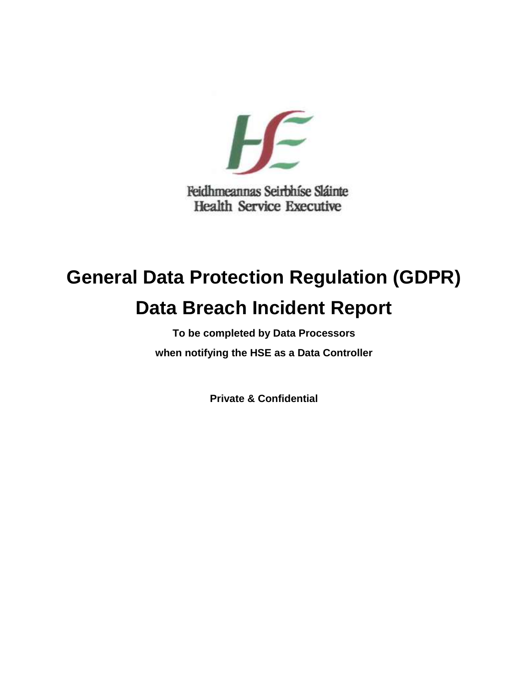

# **General Data Protection Regulation (GDPR) Data Breach Incident Report**

**To be completed by Data Processors when notifying the HSE as a Data Controller**

**Private & Confidential**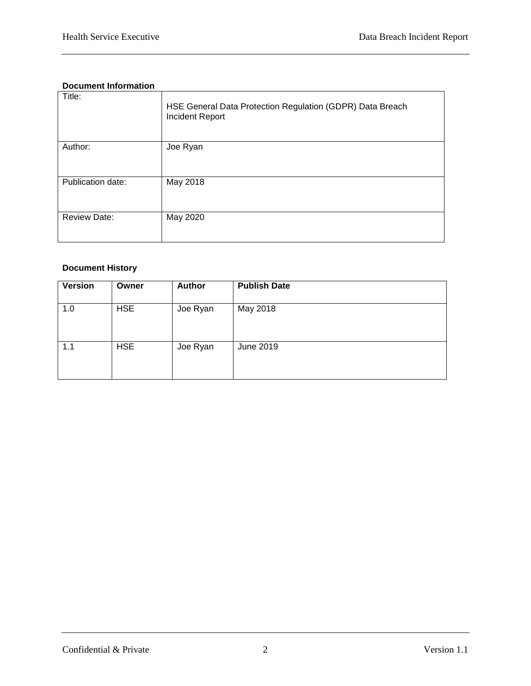#### **Document Information**

| Title:              | HSE General Data Protection Regulation (GDPR) Data Breach<br>Incident Report |
|---------------------|------------------------------------------------------------------------------|
| Author:             | Joe Ryan                                                                     |
| Publication date:   | May 2018                                                                     |
| <b>Review Date:</b> | May 2020                                                                     |

#### **Document History**

| <b>Version</b> | Owner      | <b>Author</b> | <b>Publish Date</b> |
|----------------|------------|---------------|---------------------|
| 1.0            | <b>HSE</b> | Joe Ryan      | May 2018            |
| 1.1            | <b>HSE</b> | Joe Ryan      | June 2019           |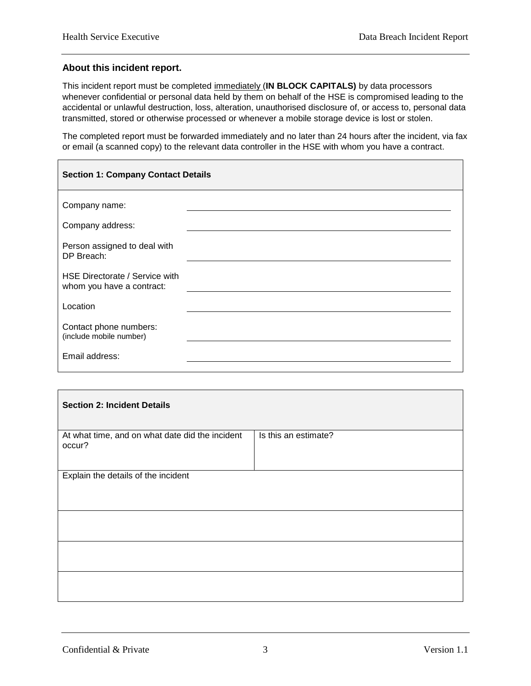$\overline{\phantom{0}}$ 

#### **About this incident report.**

This incident report must be completed immediately (**IN BLOCK CAPITALS)** by data processors whenever confidential or personal data held by them on behalf of the HSE is compromised leading to the accidental or unlawful destruction, loss, alteration, unauthorised disclosure of, or access to, personal data transmitted, stored or otherwise processed or whenever a mobile storage device is lost or stolen.

The completed report must be forwarded immediately and no later than 24 hours after the incident, via fax or email (a scanned copy) to the relevant data controller in the HSE with whom you have a contract.

| <b>Section 1: Company Contact Details</b>                   |  |  |
|-------------------------------------------------------------|--|--|
| Company name:                                               |  |  |
| Company address:                                            |  |  |
| Person assigned to deal with<br>DP Breach:                  |  |  |
| HSE Directorate / Service with<br>whom you have a contract: |  |  |
| Location                                                    |  |  |
| Contact phone numbers:<br>(include mobile number)           |  |  |
| Email address:                                              |  |  |

| <b>Section 2: Incident Details</b>                        |                      |  |  |  |
|-----------------------------------------------------------|----------------------|--|--|--|
| At what time, and on what date did the incident<br>occur? | Is this an estimate? |  |  |  |
| Explain the details of the incident                       |                      |  |  |  |
|                                                           |                      |  |  |  |
|                                                           |                      |  |  |  |
|                                                           |                      |  |  |  |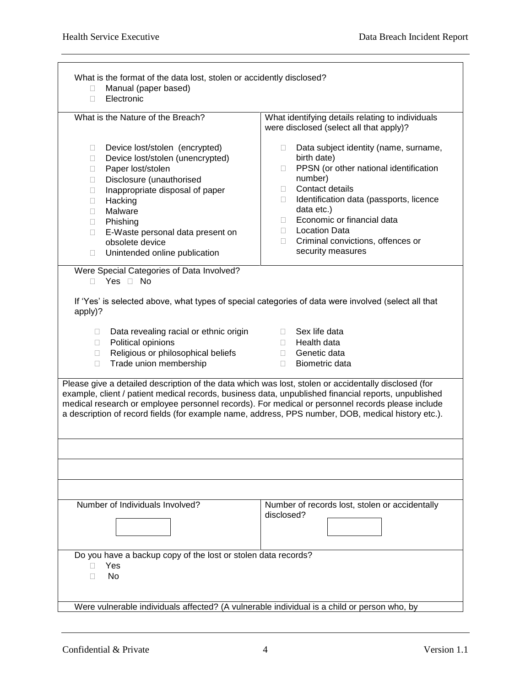| Manual (paper based)<br>П.<br>Electronic<br>П.                                                                                                                                                                                                                                                                                                              |                                                                                                                                                                                                                                                                                                                                                                                                                        |
|-------------------------------------------------------------------------------------------------------------------------------------------------------------------------------------------------------------------------------------------------------------------------------------------------------------------------------------------------------------|------------------------------------------------------------------------------------------------------------------------------------------------------------------------------------------------------------------------------------------------------------------------------------------------------------------------------------------------------------------------------------------------------------------------|
| What is the Nature of the Breach?                                                                                                                                                                                                                                                                                                                           | What identifying details relating to individuals<br>were disclosed (select all that apply)?                                                                                                                                                                                                                                                                                                                            |
| Device lost/stolen (encrypted)<br>$\Box$<br>Device lost/stolen (unencrypted)<br>$\Box$<br>Paper lost/stolen<br>$\Box$<br>Disclosure (unauthorised<br>П.<br>Inappropriate disposal of paper<br>O.<br>Hacking<br>$\Box$<br>Malware<br>П.<br>Phishing<br>П.<br>E-Waste personal data present on<br>0<br>obsolete device<br>Unintended online publication<br>Ω. | Data subject identity (name, surname,<br>П.<br>birth date)<br>PPSN (or other national identification<br>$\Box$<br>number)<br>Contact details<br>Ω.<br>Identification data (passports, licence<br>П.<br>data etc.)<br>Economic or financial data<br>$\Box$<br><b>Location Data</b><br>П.<br>Criminal convictions, offences or<br>$\Box$<br>security measures                                                            |
| Were Special Categories of Data Involved?<br>Yes <sup>No</sup><br>П.                                                                                                                                                                                                                                                                                        |                                                                                                                                                                                                                                                                                                                                                                                                                        |
| apply)?                                                                                                                                                                                                                                                                                                                                                     | If 'Yes' is selected above, what types of special categories of data were involved (select all that                                                                                                                                                                                                                                                                                                                    |
| Data revealing racial or ethnic origin<br>□.<br>Political opinions<br>$\Box$<br>Religious or philosophical beliefs<br>П.<br>Trade union membership<br>П.                                                                                                                                                                                                    | Sex life data<br>$\Box$<br>Health data<br>$\Box$<br>Genetic data<br>$\Box$<br>Biometric data<br>$\Box$                                                                                                                                                                                                                                                                                                                 |
|                                                                                                                                                                                                                                                                                                                                                             | Please give a detailed description of the data which was lost, stolen or accidentally disclosed (for<br>example, client / patient medical records, business data, unpublished financial reports, unpublished<br>medical research or employee personnel records). For medical or personnel records please include<br>a description of record fields (for example name, address, PPS number, DOB, medical history etc.). |
|                                                                                                                                                                                                                                                                                                                                                             |                                                                                                                                                                                                                                                                                                                                                                                                                        |
|                                                                                                                                                                                                                                                                                                                                                             |                                                                                                                                                                                                                                                                                                                                                                                                                        |
| Number of Individuals Involved?                                                                                                                                                                                                                                                                                                                             | Number of records lost, stolen or accidentally<br>disclosed?                                                                                                                                                                                                                                                                                                                                                           |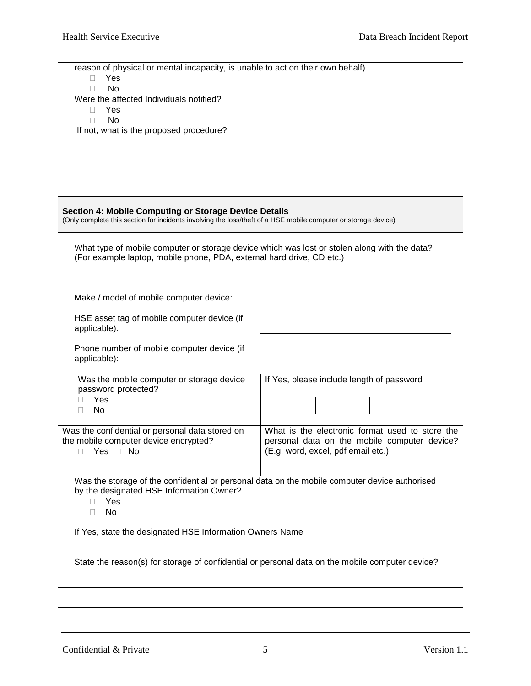| reason of physical or mental incapacity, is unable to act on their own behalf)                                                                                                 |                                                                                                 |  |  |  |
|--------------------------------------------------------------------------------------------------------------------------------------------------------------------------------|-------------------------------------------------------------------------------------------------|--|--|--|
| Yes<br>П.<br>No<br>П                                                                                                                                                           |                                                                                                 |  |  |  |
| Were the affected Individuals notified?                                                                                                                                        |                                                                                                 |  |  |  |
| Yes<br>П.                                                                                                                                                                      |                                                                                                 |  |  |  |
| <b>No</b><br>П<br>If not, what is the proposed procedure?                                                                                                                      |                                                                                                 |  |  |  |
|                                                                                                                                                                                |                                                                                                 |  |  |  |
|                                                                                                                                                                                |                                                                                                 |  |  |  |
|                                                                                                                                                                                |                                                                                                 |  |  |  |
|                                                                                                                                                                                |                                                                                                 |  |  |  |
| <b>Section 4: Mobile Computing or Storage Device Details</b><br>(Only complete this section for incidents involving the loss/theft of a HSE mobile computer or storage device) |                                                                                                 |  |  |  |
|                                                                                                                                                                                |                                                                                                 |  |  |  |
| What type of mobile computer or storage device which was lost or stolen along with the data?<br>(For example laptop, mobile phone, PDA, external hard drive, CD etc.)          |                                                                                                 |  |  |  |
|                                                                                                                                                                                |                                                                                                 |  |  |  |
|                                                                                                                                                                                |                                                                                                 |  |  |  |
| Make / model of mobile computer device:                                                                                                                                        |                                                                                                 |  |  |  |
| HSE asset tag of mobile computer device (if<br>applicable):                                                                                                                    |                                                                                                 |  |  |  |
| Phone number of mobile computer device (if<br>applicable):                                                                                                                     |                                                                                                 |  |  |  |
| Was the mobile computer or storage device                                                                                                                                      | If Yes, please include length of password                                                       |  |  |  |
| password protected?                                                                                                                                                            |                                                                                                 |  |  |  |
| Yes<br>П                                                                                                                                                                       |                                                                                                 |  |  |  |
| No<br>П.                                                                                                                                                                       |                                                                                                 |  |  |  |
| Was the confidential or personal data stored on                                                                                                                                | What is the electronic format used to store the                                                 |  |  |  |
| the mobile computer device encrypted?                                                                                                                                          | personal data on the mobile computer device?                                                    |  |  |  |
| Yes <sup>D</sup> No<br>$\Box$                                                                                                                                                  | (E.g. word, excel, pdf email etc.)                                                              |  |  |  |
|                                                                                                                                                                                |                                                                                                 |  |  |  |
| Was the storage of the confidential or personal data on the mobile computer device authorised                                                                                  |                                                                                                 |  |  |  |
| by the designated HSE Information Owner?                                                                                                                                       |                                                                                                 |  |  |  |
| Yes<br>Ш                                                                                                                                                                       |                                                                                                 |  |  |  |
| No<br>П                                                                                                                                                                        |                                                                                                 |  |  |  |
| If Yes, state the designated HSE Information Owners Name                                                                                                                       |                                                                                                 |  |  |  |
|                                                                                                                                                                                |                                                                                                 |  |  |  |
|                                                                                                                                                                                |                                                                                                 |  |  |  |
|                                                                                                                                                                                | State the reason(s) for storage of confidential or personal data on the mobile computer device? |  |  |  |
|                                                                                                                                                                                |                                                                                                 |  |  |  |
|                                                                                                                                                                                |                                                                                                 |  |  |  |
|                                                                                                                                                                                |                                                                                                 |  |  |  |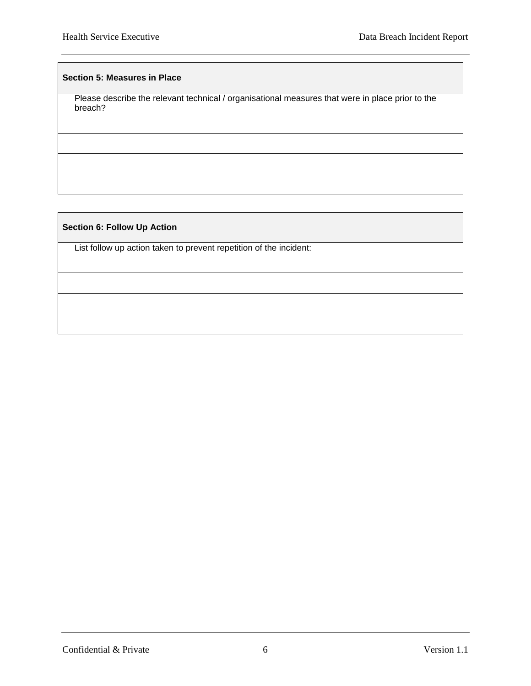#### **Section 5: Measures in Place**

Please describe the relevant technical / organisational measures that were in place prior to the breach?

#### **Section 6: Follow Up Action**

List follow up action taken to prevent repetition of the incident:

Confidential & Private 6 6 Version 1.1